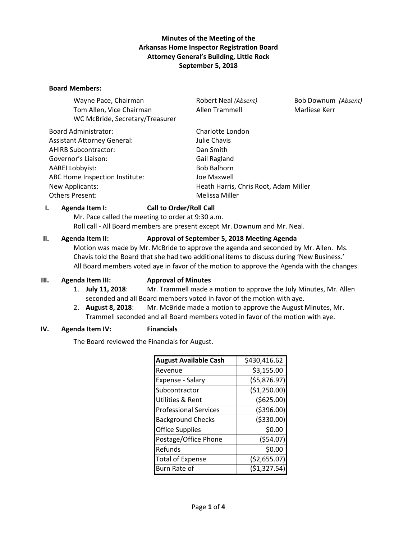## **Minutes of the Meeting of the Arkansas Home Inspector Registration Board Attorney General's Building, Little Rock September 5, 2018**

#### **Board Members:**

| Wayne Pace, Chairman               | Robert Neal (Absent)                  | Bob Downum (Absent) |
|------------------------------------|---------------------------------------|---------------------|
| Tom Allen, Vice Chairman           | Allen Trammell                        | Marliese Kerr       |
| WC McBride, Secretary/Treasurer    |                                       |                     |
| <b>Board Administrator:</b>        | Charlotte London                      |                     |
| <b>Assistant Attorney General:</b> | Julie Chavis                          |                     |
| AHIRB Subcontractor:               | Dan Smith                             |                     |
| Governor's Liaison:                | Gail Ragland                          |                     |
| AAREI Lobbyist:                    | <b>Bob Balhorn</b>                    |                     |
| ABC Home Inspection Institute:     | Joe Maxwell                           |                     |
| <b>New Applicants:</b>             | Heath Harris, Chris Root, Adam Miller |                     |
| Others Present:                    | Melissa Miller                        |                     |
|                                    |                                       |                     |

### **I. Agenda Item I: Call to Order/Roll Call**

Mr. Pace called the meeting to order at 9:30 a.m. Roll call - All Board members are present except Mr. Downum and Mr. Neal.

## **II. Agenda Item II: Approval of September 5, 2018 Meeting Agenda**

Motion was made by Mr. McBride to approve the agenda and seconded by Mr. Allen. Ms. Chavis told the Board that she had two additional items to discuss during 'New Business.' All Board members voted aye in favor of the motion to approve the Agenda with the changes.

#### **III. Agenda Item III: Approval of Minutes**

- 1. **July 11, 2018**: Mr. Trammell made a motion to approve the July Minutes, Mr. Allen seconded and all Board members voted in favor of the motion with aye.
- 2. **August 8, 2018**: Mr. McBride made a motion to approve the August Minutes, Mr. Trammell seconded and all Board members voted in favor of the motion with aye.

#### **IV. Agenda Item IV: Financials**

The Board reviewed the Financials for August.

| <b>August Available Cash</b> | \$430,416.62  |
|------------------------------|---------------|
| Revenue                      | \$3,155.00    |
| Expense - Salary             | (55,876.97)   |
| Subcontractor                | (\$1,250.00)  |
| <b>Utilities &amp; Rent</b>  | (\$625.00)    |
| <b>Professional Services</b> | ( \$396.00)   |
| <b>Background Checks</b>     | ( \$330.00)   |
| <b>Office Supplies</b>       | \$0.00        |
| Postage/Office Phone         | (554.07)      |
| Refunds                      | \$0.00        |
| <b>Total of Expense</b>      | (\$2,655.07)  |
| Burn Rate of                 | ( \$1,327.54) |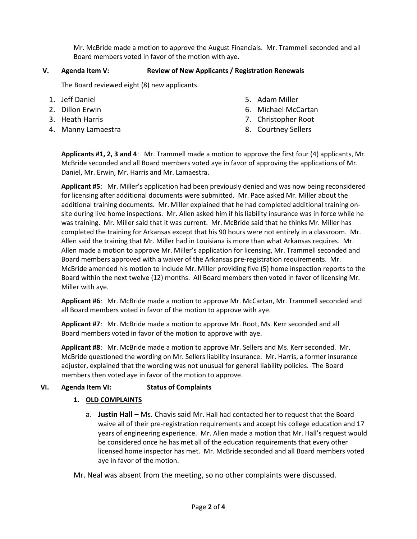Mr. McBride made a motion to approve the August Financials. Mr. Trammell seconded and all Board members voted in favor of the motion with aye.

# **V. Agenda Item V: Review of New Applicants / Registration Renewals**

The Board reviewed eight (8) new applicants.

- 1. Jeff Daniel
- 2. Dillon Erwin
- 3. Heath Harris
- 4. Manny Lamaestra
- 5. Adam Miller
- 6. Michael McCartan
- 7. Christopher Root
- 8. Courtney Sellers

**Applicants #1, 2, 3 and 4**: Mr. Trammell made a motion to approve the first four (4) applicants, Mr. McBride seconded and all Board members voted aye in favor of approving the applications of Mr. Daniel, Mr. Erwin, Mr. Harris and Mr. Lamaestra.

**Applicant #5**: Mr. Miller's application had been previously denied and was now being reconsidered for licensing after additional documents were submitted. Mr. Pace asked Mr. Miller about the additional training documents. Mr. Miller explained that he had completed additional training onsite during live home inspections. Mr. Allen asked him if his liability insurance was in force while he was training. Mr. Miller said that it was current. Mr. McBride said that he thinks Mr. Miller has completed the training for Arkansas except that his 90 hours were not entirely in a classroom. Mr. Allen said the training that Mr. Miller had in Louisiana is more than what Arkansas requires. Mr. Allen made a motion to approve Mr. Miller's application for licensing, Mr. Trammell seconded and Board members approved with a waiver of the Arkansas pre-registration requirements. Mr. McBride amended his motion to include Mr. Miller providing five (5) home inspection reports to the Board within the next twelve (12) months. All Board members then voted in favor of licensing Mr. Miller with aye.

**Applicant #6**: Mr. McBride made a motion to approve Mr. McCartan, Mr. Trammell seconded and all Board members voted in favor of the motion to approve with aye.

**Applicant #7**: Mr. McBride made a motion to approve Mr. Root, Ms. Kerr seconded and all Board members voted in favor of the motion to approve with aye.

**Applicant #8**: Mr. McBride made a motion to approve Mr. Sellers and Ms. Kerr seconded. Mr. McBride questioned the wording on Mr. Sellers liability insurance. Mr. Harris, a former insurance adjuster, explained that the wording was not unusual for general liability policies. The Board members then voted aye in favor of the motion to approve.

# **VI. Agenda Item VI: Status of Complaints**

# **1. OLD COMPLAINTS**

a. **Justin Hall** – Ms. Chavis said Mr. Hall had contacted her to request that the Board waive all of their pre-registration requirements and accept his college education and 17 years of engineering experience. Mr. Allen made a motion that Mr. Hall's request would be considered once he has met all of the education requirements that every other licensed home inspector has met. Mr. McBride seconded and all Board members voted aye in favor of the motion.

Mr. Neal was absent from the meeting, so no other complaints were discussed.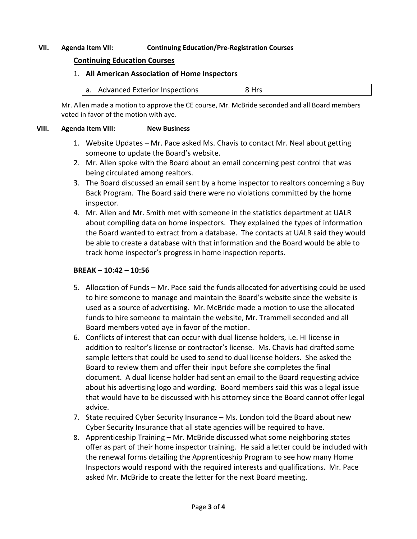## **VII. Agenda Item VII: Continuing Education/Pre-Registration Courses**

## **Continuing Education Courses**

### 1. **All American Association of Home Inspectors**

a. Advanced Exterior Inspections 8 Hrs

Mr. Allen made a motion to approve the CE course, Mr. McBride seconded and all Board members voted in favor of the motion with aye.

#### **VIII. Agenda Item VIII: New Business**

- 1. Website Updates Mr. Pace asked Ms. Chavis to contact Mr. Neal about getting someone to update the Board's website.
- 2. Mr. Allen spoke with the Board about an email concerning pest control that was being circulated among realtors.
- 3. The Board discussed an email sent by a home inspector to realtors concerning a Buy Back Program. The Board said there were no violations committed by the home inspector.
- 4. Mr. Allen and Mr. Smith met with someone in the statistics department at UALR about compiling data on home inspectors. They explained the types of information the Board wanted to extract from a database. The contacts at UALR said they would be able to create a database with that information and the Board would be able to track home inspector's progress in home inspection reports.

### **BREAK – 10:42 – 10:56**

- 5. Allocation of Funds Mr. Pace said the funds allocated for advertising could be used to hire someone to manage and maintain the Board's website since the website is used as a source of advertising. Mr. McBride made a motion to use the allocated funds to hire someone to maintain the website, Mr. Trammell seconded and all Board members voted aye in favor of the motion.
- 6. Conflicts of interest that can occur with dual license holders, i.e. HI license in addition to realtor's license or contractor's license. Ms. Chavis had drafted some sample letters that could be used to send to dual license holders. She asked the Board to review them and offer their input before she completes the final document. A dual license holder had sent an email to the Board requesting advice about his advertising logo and wording. Board members said this was a legal issue that would have to be discussed with his attorney since the Board cannot offer legal advice.
- 7. State required Cyber Security Insurance Ms. London told the Board about new Cyber Security Insurance that all state agencies will be required to have.
- 8. Apprenticeship Training Mr. McBride discussed what some neighboring states offer as part of their home inspector training. He said a letter could be included with the renewal forms detailing the Apprenticeship Program to see how many Home Inspectors would respond with the required interests and qualifications. Mr. Pace asked Mr. McBride to create the letter for the next Board meeting.